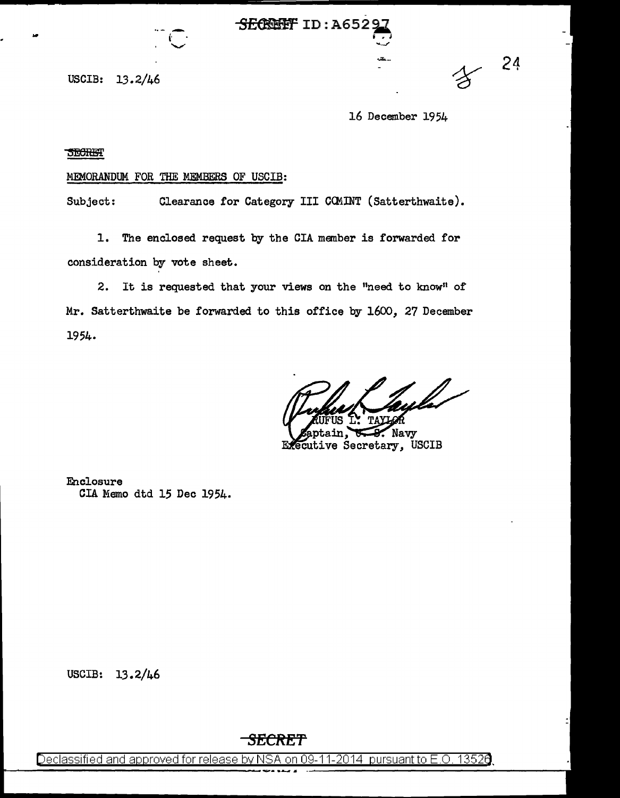**SECRIPT ID: A6529** 

 $\mathcal{L}^{\mathcal{A}}_{\mathcal{A}}$  .  $\mathcal{L}^{\mathcal{A}}_{\mathcal{A}}$  ,  $\mathcal{L}^{\mathcal{A}}_{\mathcal{A}}$  ,  $\mathcal{L}^{\mathcal{A}}_{\mathcal{A}}$  ,  $\mathcal{L}^{\mathcal{A}}_{\mathcal{A}}$  ,  $\mathcal{L}^{\mathcal{A}}_{\mathcal{A}}$  ,  $\mathcal{L}^{\mathcal{A}}_{\mathcal{A}}$  ,  $\mathcal{L}^{\mathcal{A}}_{\mathcal{A}}$  ,  $\mathcal{L}^{\mathcal{A}}_{\mathcal{A}}$ 

USCIB: 13.2/46

. iii  $\mathbb{R}^n$  is the set of  $\mathbb{R}^n$ .

16 December 1954

....... \_\_ 24

**SECRET** 

## MEMORANDUM FOR THE MEMBERS OF USCIB:

Subject: Clearance for Category III CCMINT (Satterthwaite).

1. The enclosed request by the CIA member is forwarded for consideration by vote sheet.

2. It is requested that your views on the "need to know" of Mr. Satterthwaite be forwarded to this office by 1600, 27 December 1954.

ula-

Navy Executive Secretary, USCIB

Enclosure CIA Memo dtd 15 Dec 1954.

USCIB: 13.2/46

**SECRE'f** 

Declassified and approved for release by NSA on 09-11-2014 pursuant to E .0. 1352a.